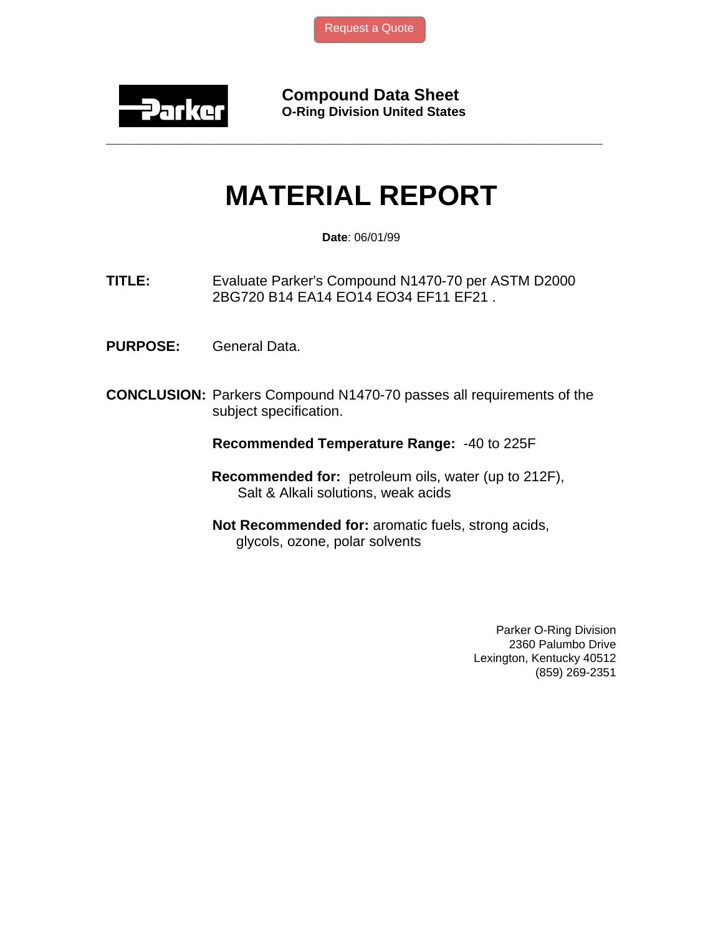

**Compound Data Sheet O-Ring Division United States** 

## **MATERIAL REPORT**

**\_\_\_\_\_\_\_\_\_\_\_\_\_\_\_\_\_\_\_\_\_\_\_\_\_\_\_\_\_\_\_\_\_\_\_\_\_\_\_\_\_\_\_\_\_\_\_\_\_\_\_\_\_\_\_\_\_\_\_\_\_\_\_** 

**Date**: 06/01/99

**TITLE:** Evaluate Parker's Compound N1470-70 per ASTM D2000 2BG720 B14 EA14 EO14 EO34 EF11 EF21 .

- **PURPOSE:** General Data.
- **CONCLUSION:** Parkers Compound N1470-70 passes all requirements of the subject specification.

**Recommended Temperature Range:** -40 to 225F

- **Recommended for:** petroleum oils, water (up to 212F), Salt & Alkali solutions, weak acids
- **Not Recommended for:** aromatic fuels, strong acids, glycols, ozone, polar solvents

Parker O-Ring Division 2360 Palumbo Drive Lexington, Kentucky 40512 (859) 269-2351